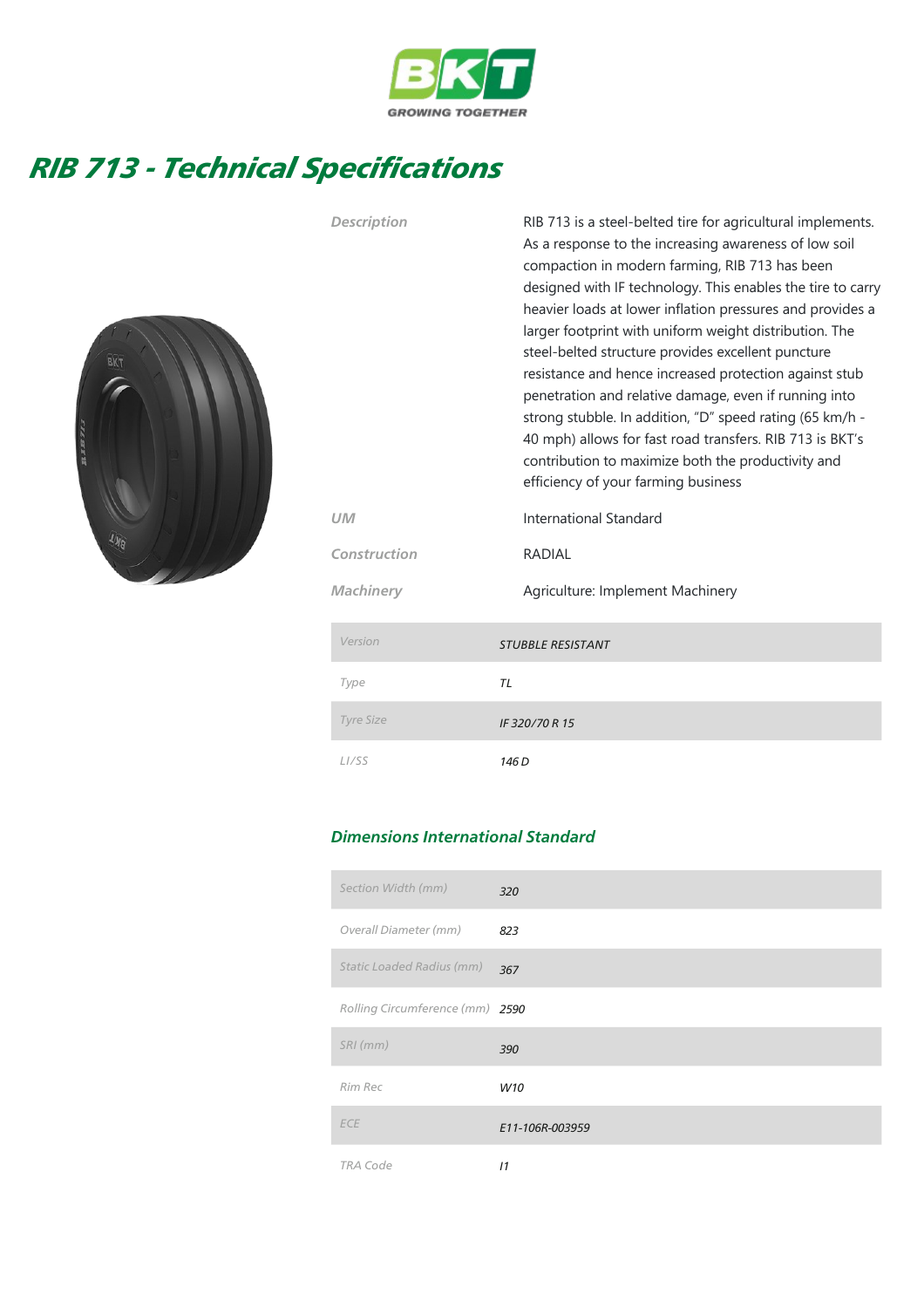

## RIB 713 - Technical Specifications



| <b>Description</b> | RIB 713 is a steel-belted tire for agricultural implements.<br>As a response to the increasing awareness of low soil<br>compaction in modern farming, RIB 713 has been<br>designed with IF technology. This enables the tire to carry<br>heavier loads at lower inflation pressures and provides a<br>larger footprint with uniform weight distribution. The<br>steel-belted structure provides excellent puncture<br>resistance and hence increased protection against stub<br>penetration and relative damage, even if running into<br>strong stubble. In addition, "D" speed rating (65 km/h -<br>40 mph) allows for fast road transfers. RIB 713 is BKT's<br>contribution to maximize both the productivity and<br>efficiency of your farming business |  |  |  |  |  |  |
|--------------------|------------------------------------------------------------------------------------------------------------------------------------------------------------------------------------------------------------------------------------------------------------------------------------------------------------------------------------------------------------------------------------------------------------------------------------------------------------------------------------------------------------------------------------------------------------------------------------------------------------------------------------------------------------------------------------------------------------------------------------------------------------|--|--|--|--|--|--|
| UМ                 | International Standard                                                                                                                                                                                                                                                                                                                                                                                                                                                                                                                                                                                                                                                                                                                                     |  |  |  |  |  |  |
| Construction       | <b>RADIAL</b>                                                                                                                                                                                                                                                                                                                                                                                                                                                                                                                                                                                                                                                                                                                                              |  |  |  |  |  |  |
| <b>Machinery</b>   | Agriculture: Implement Machinery                                                                                                                                                                                                                                                                                                                                                                                                                                                                                                                                                                                                                                                                                                                           |  |  |  |  |  |  |
| Version            | <b>STUBBLE RESISTANT</b>                                                                                                                                                                                                                                                                                                                                                                                                                                                                                                                                                                                                                                                                                                                                   |  |  |  |  |  |  |
| Type               | <b>TL</b>                                                                                                                                                                                                                                                                                                                                                                                                                                                                                                                                                                                                                                                                                                                                                  |  |  |  |  |  |  |
| Tyre Size          | IF 320/70 R 15                                                                                                                                                                                                                                                                                                                                                                                                                                                                                                                                                                                                                                                                                                                                             |  |  |  |  |  |  |
| L <sub>I</sub> /SS | 146 <sub>D</sub>                                                                                                                                                                                                                                                                                                                                                                                                                                                                                                                                                                                                                                                                                                                                           |  |  |  |  |  |  |

## Dimensions International Standard

| Section Width (mm)              | 320             |
|---------------------------------|-----------------|
| Overall Diameter (mm)           | 823             |
| Static Loaded Radius (mm)       | 367             |
| Rolling Circumference (mm) 2590 |                 |
| $SRI$ (mm)                      | 390             |
| Rim Rec                         | W10             |
| <b>ECE</b>                      | E11-106R-003959 |
| <b>TRA Code</b>                 | 11              |